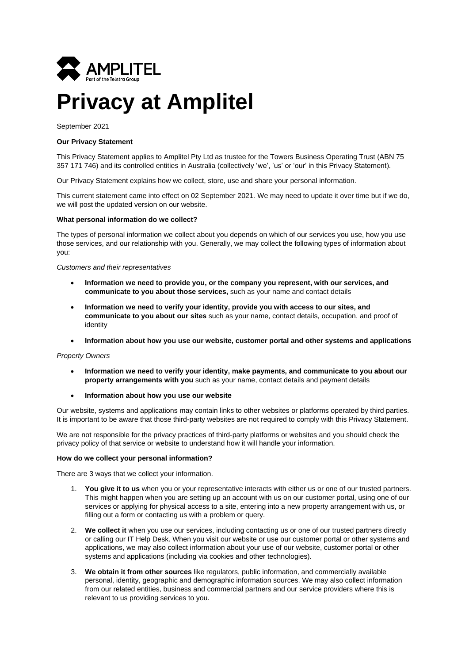

# **Privacy at Amplitel**

September 2021

# **Our Privacy Statement**

This Privacy Statement applies to Amplitel Pty Ltd as trustee for the Towers Business Operating Trust (ABN 75 357 171 746) and its controlled entities in Australia (collectively 'we', 'us' or 'our' in this Privacy Statement).

Our Privacy Statement explains how we collect, store, use and share your personal information.

This current statement came into effect on 02 September 2021. We may need to update it over time but if we do, we will post the updated version on our website.

## **What personal information do we collect?**

The types of personal information we collect about you depends on which of our services you use, how you use those services, and our relationship with you. Generally, we may collect the following types of information about you:

## *Customers and their representatives*

- **Information we need to provide you, or the company you represent, with our services, and communicate to you about those services,** such as your name and contact details
- **Information we need to verify your identity, provide you with access to our sites, and communicate to you about our sites** such as your name, contact details, occupation, and proof of identity
- **Information about how you use our website, customer portal and other systems and applications**

# *Property Owners*

- **Information we need to verify your identity, make payments, and communicate to you about our property arrangements with you** such as your name, contact details and payment details
- **Information about how you use our website**

Our website, systems and applications may contain links to other websites or platforms operated by third parties. It is important to be aware that those third-party websites are not required to comply with this Privacy Statement.

We are not responsible for the privacy practices of third-party platforms or websites and you should check the privacy policy of that service or website to understand how it will handle your information.

# **How do we collect your personal information?**

There are 3 ways that we collect your information.

- 1. **You give it to us** when you or your representative interacts with either us or one of our trusted partners. This might happen when you are setting up an account with us on our customer portal, using one of our services or applying for physical access to a site, entering into a new property arrangement with us, or filling out a form or contacting us with a problem or query.
- 2. **We collect it** when you use our services, including contacting us or one of our trusted partners directly or calling our IT Help Desk. When you visit our website or use our customer portal or other systems and applications, we may also collect information about your use of our website, customer portal or other systems and applications (including via cookies and other technologies).
- 3. **We obtain it from other sources** like regulators, public information, and commercially available personal, identity, geographic and demographic information sources. We may also collect information from our related entities, business and commercial partners and our service providers where this is relevant to us providing services to you.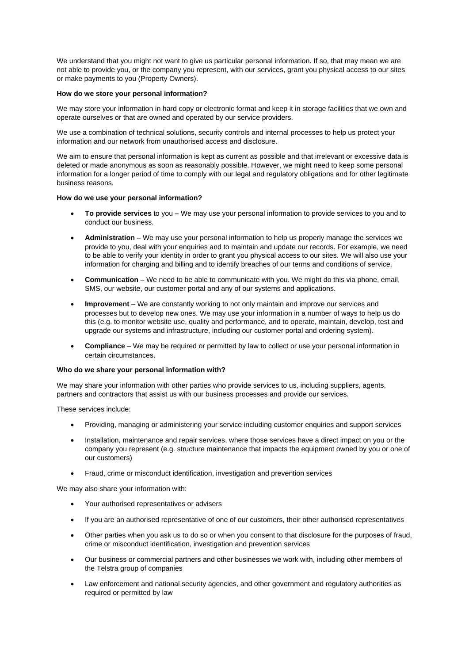We understand that you might not want to give us particular personal information. If so, that may mean we are not able to provide you, or the company you represent, with our services, grant you physical access to our sites or make payments to you (Property Owners).

# **How do we store your personal information?**

We may store your information in hard copy or electronic format and keep it in storage facilities that we own and operate ourselves or that are owned and operated by our service providers.

We use a combination of technical solutions, security controls and internal processes to help us protect your information and our network from unauthorised access and disclosure.

We aim to ensure that personal information is kept as current as possible and that irrelevant or excessive data is deleted or made anonymous as soon as reasonably possible. However, we might need to keep some personal information for a longer period of time to comply with our legal and regulatory obligations and for other legitimate business reasons.

# **How do we use your personal information?**

- **To provide services** to you We may use your personal information to provide services to you and to conduct our business.
- **Administration** We may use your personal information to help us properly manage the services we provide to you, deal with your enquiries and to maintain and update our records. For example, we need to be able to verify your identity in order to grant you physical access to our sites. We will also use your information for charging and billing and to identify breaches of our terms and conditions of service.
- **Communication**  We need to be able to communicate with you. We might do this via phone, email, SMS, our website, our customer portal and any of our systems and applications.
- **Improvement** We are constantly working to not only maintain and improve our services and processes but to develop new ones. We may use your information in a number of ways to help us do this (e.g. to monitor website use, quality and performance, and to operate, maintain, develop, test and upgrade our systems and infrastructure, including our customer portal and ordering system).
- **Compliance** We may be required or permitted by law to collect or use your personal information in certain circumstances.

# **Who do we share your personal information with?**

We may share your information with other parties who provide services to us, including suppliers, agents, partners and contractors that assist us with our business processes and provide our services.

These services include:

- Providing, managing or administering your service including customer enquiries and support services
- Installation, maintenance and repair services, where those services have a direct impact on you or the company you represent (e.g. structure maintenance that impacts the equipment owned by you or one of our customers)
- Fraud, crime or misconduct identification, investigation and prevention services

We may also share your information with:

- Your authorised representatives or advisers
- If you are an authorised representative of one of our customers, their other authorised representatives
- Other parties when you ask us to do so or when you consent to that disclosure for the purposes of fraud, crime or misconduct identification, investigation and prevention services
- Our business or commercial partners and other businesses we work with, including other members of the Telstra group of companies
- Law enforcement and national security agencies, and other government and regulatory authorities as required or permitted by law